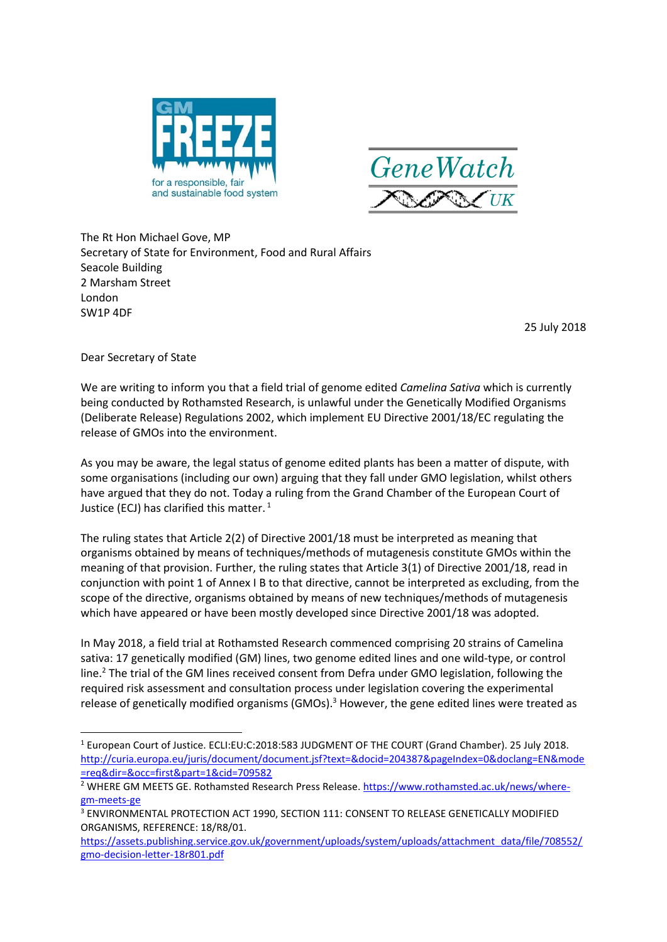



The Rt Hon Michael Gove, MP Secretary of State for Environment, Food and Rural Affairs Seacole Building 2 Marsham Street London SW1P 4DF

25 July 2018

Dear Secretary of State

1

We are writing to inform you that a field trial of genome edited *Camelina Sativa* which is currently being conducted by Rothamsted Research, is unlawful under the Genetically Modified Organisms (Deliberate Release) Regulations 2002, which implement EU Directive 2001/18/EC regulating the release of GMOs into the environment.

As you may be aware, the legal status of genome edited plants has been a matter of dispute, with some organisations (including our own) arguing that they fall under GMO legislation, whilst others have argued that they do not. Today a ruling from the Grand Chamber of the European Court of Justice (ECJ) has clarified this matter.<sup>1</sup>

The ruling states that Article 2(2) of Directive 2001/18 must be interpreted as meaning that organisms obtained by means of techniques/methods of mutagenesis constitute GMOs within the meaning of that provision. Further, the ruling states that Article 3(1) of Directive 2001/18, read in conjunction with point 1 of Annex I B to that directive, cannot be interpreted as excluding, from the scope of the directive, organisms obtained by means of new techniques/methods of mutagenesis which have appeared or have been mostly developed since Directive 2001/18 was adopted.

In May 2018, a field trial at Rothamsted Research commenced comprising 20 strains of Camelina sativa: 17 genetically modified (GM) lines, two genome edited lines and one wild-type, or control line.<sup>2</sup> The trial of the GM lines received consent from Defra under GMO legislation, following the required risk assessment and consultation process under legislation covering the experimental release of genetically modified organisms (GMOs).<sup>3</sup> However, the gene edited lines were treated as

<sup>1</sup> European Court of Justice. ECLI:EU:C:2018:583 JUDGMENT OF THE COURT (Grand Chamber). 25 July 2018. [http://curia.europa.eu/juris/document/document.jsf?text=&docid=204387&pageIndex=0&doclang=EN&mode](http://curia.europa.eu/juris/document/document.jsf?text=&docid=204387&pageIndex=0&doclang=EN&mode=req&dir=&occ=first&part=1&cid=709582) [=req&dir=&occ=first&part=1&cid=709582](http://curia.europa.eu/juris/document/document.jsf?text=&docid=204387&pageIndex=0&doclang=EN&mode=req&dir=&occ=first&part=1&cid=709582)

<sup>&</sup>lt;sup>2</sup> WHERE GM MEETS GE. Rothamsted Research Press Release. [https://www.rothamsted.ac.uk/news/where](https://www.rothamsted.ac.uk/news/where-gm-meets-ge)[gm-meets-ge](https://www.rothamsted.ac.uk/news/where-gm-meets-ge)

<sup>3</sup> ENVIRONMENTAL PROTECTION ACT 1990, SECTION 111: CONSENT TO RELEASE GENETICALLY MODIFIED ORGANISMS, REFERENCE: 18/R8/01.

[https://assets.publishing.service.gov.uk/government/uploads/system/uploads/attachment\\_data/file/708552/](https://assets.publishing.service.gov.uk/government/uploads/system/uploads/attachment_data/file/708552/gmo-decision-letter-18r801.pdf) [gmo-decision-letter-18r801.pdf](https://assets.publishing.service.gov.uk/government/uploads/system/uploads/attachment_data/file/708552/gmo-decision-letter-18r801.pdf)